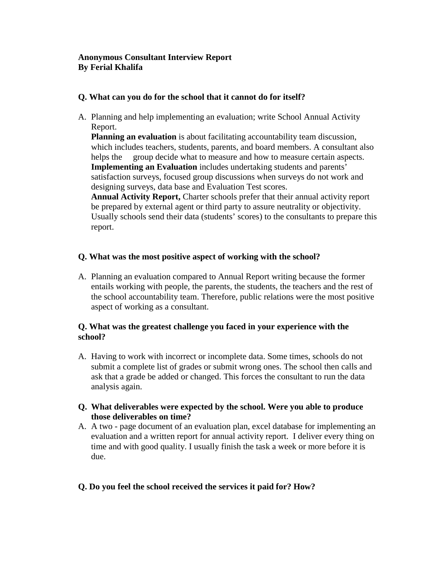#### **Anonymous Consultant Interview Report By Ferial Khalifa**

#### **Q. What can you do for the school that it cannot do for itself?**

A. Planning and help implementing an evaluation; write School Annual Activity Report.

**Planning an evaluation** is about facilitating accountability team discussion, which includes teachers, students, parents, and board members. A consultant also helps the group decide what to measure and how to measure certain aspects. **Implementing an Evaluation** includes undertaking students and parents' satisfaction surveys, focused group discussions when surveys do not work and designing surveys, data base and Evaluation Test scores.

**Annual Activity Report,** Charter schools prefer that their annual activity report be prepared by external agent or third party to assure neutrality or objectivity. Usually schools send their data (students' scores) to the consultants to prepare this report.

#### **Q. What was the most positive aspect of working with the school?**

A. Planning an evaluation compared to Annual Report writing because the former entails working with people, the parents, the students, the teachers and the rest of the school accountability team. Therefore, public relations were the most positive aspect of working as a consultant.

#### **Q. What was the greatest challenge you faced in your experience with the school?**

- A. Having to work with incorrect or incomplete data. Some times, schools do not submit a complete list of grades or submit wrong ones. The school then calls and ask that a grade be added or changed. This forces the consultant to run the data analysis again.
- **Q. What deliverables were expected by the school. Were you able to produce those deliverables on time?**
- A. A two page document of an evaluation plan, excel database for implementing an evaluation and a written report for annual activity report. I deliver every thing on time and with good quality. I usually finish the task a week or more before it is due.

## **Q. Do you feel the school received the services it paid for? How?**